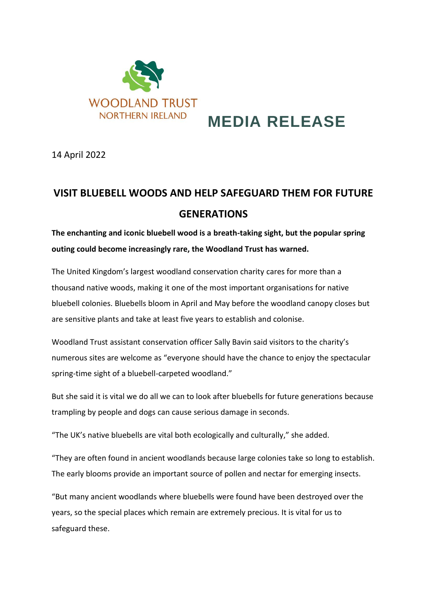

# **MEDIA RELEASE**

14 April 2022

## **VISIT BLUEBELL WOODS AND HELP SAFEGUARD THEM FOR FUTURE GENERATIONS**

**The enchanting and iconic bluebell wood is a breath-taking sight, but the popular spring outing could become increasingly rare, the Woodland Trust has warned.**

The United Kingdom's largest woodland conservation charity cares for more than a thousand native woods, making it one of the most important organisations for native bluebell colonies. Bluebells bloom in April and May before the woodland canopy closes but are sensitive plants and take at least five years to establish and colonise.

Woodland Trust assistant conservation officer Sally Bavin said visitors to the charity's numerous sites are welcome as "everyone should have the chance to enjoy the spectacular spring-time sight of a bluebell-carpeted woodland."

But she said it is vital we do all we can to look after bluebells for future generations because trampling by people and dogs can cause serious damage in seconds.

"The UK's native bluebells are vital both ecologically and culturally," she added.

"They are often found in ancient woodlands because large colonies take so long to establish. The early blooms provide an important source of pollen and nectar for emerging insects.

"But many ancient woodlands where bluebells were found have been destroyed over the years, so the special places which remain are extremely precious. It is vital for us to safeguard these.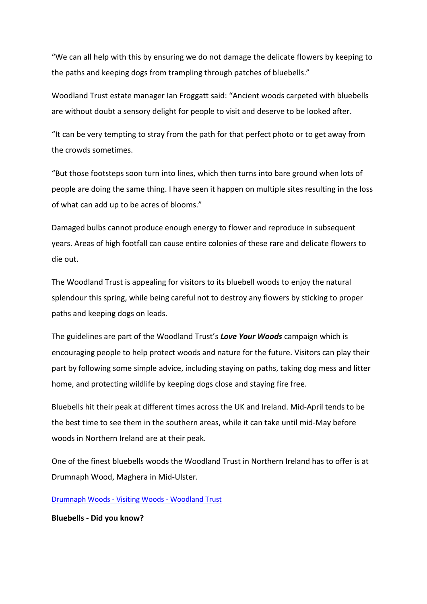"We can all help with this by ensuring we do not damage the delicate flowers by keeping to the paths and keeping dogs from trampling through patches of bluebells."

Woodland Trust estate manager Ian Froggatt said: "Ancient woods carpeted with bluebells are without doubt a sensory delight for people to visit and deserve to be looked after.

"It can be very tempting to stray from the path for that perfect photo or to get away from the crowds sometimes.

"But those footsteps soon turn into lines, which then turns into bare ground when lots of people are doing the same thing. I have seen it happen on multiple sites resulting in the loss of what can add up to be acres of blooms."

Damaged bulbs cannot produce enough energy to flower and reproduce in subsequent years. Areas of high footfall can cause entire colonies of these rare and delicate flowers to die out.

The Woodland Trust is appealing for visitors to its bluebell woods to enjoy the natural splendour this spring, while being careful not to destroy any flowers by sticking to proper paths and keeping dogs on leads.

The guidelines are part of the Woodland Trust's *Love Your Woods* campaign which is encouraging people to help protect woods and nature for the future. Visitors can play their part by following some simple advice, including staying on paths, taking dog mess and litter home, and protecting wildlife by keeping dogs close and staying fire free.

Bluebells hit their peak at different times across the UK and Ireland. Mid-April tends to be the best time to see them in the southern areas, while it can take until mid-May before woods in Northern Ireland are at their peak.

One of the finest bluebells woods the Woodland Trust in Northern Ireland has to offer is at Drumnaph Wood, Maghera in Mid-Ulster.

[Drumnaph Woods -](https://www.woodlandtrust.org.uk/visiting-woods/woods/drumnaph-wood/) Visiting Woods - Woodland Trust

**Bluebells - Did you know?**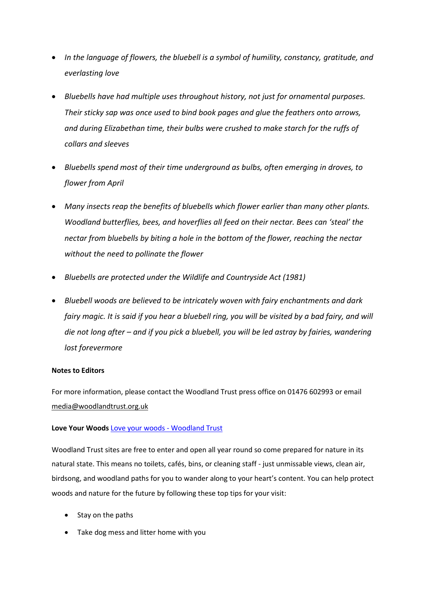- *In the language of flowers, the bluebell is a symbol of humility, constancy, gratitude, and everlasting love*
- *Bluebells have had multiple uses throughout history, not just for ornamental purposes. Their sticky sap was once used to bind book pages and glue the feathers onto arrows, and during Elizabethan time, their bulbs were crushed to make starch for the ruffs of collars and sleeves*
- *Bluebells spend most of their time underground as bulbs, often emerging in droves, to flower from April*
- *Many insects reap the benefits of bluebells which flower earlier than many other plants. Woodland butterflies, bees, and hoverflies all feed on their nectar. Bees can 'steal' the nectar from bluebells by biting a hole in the bottom of the flower, reaching the nectar without the need to pollinate the flower*
- *Bluebells are protected under the Wildlife and Countryside Act (1981)*
- *Bluebell woods are believed to be intricately woven with fairy enchantments and dark fairy magic. It is said if you hear a bluebell ring, you will be visited by a bad fairy, and will die not long after – and if you pick a bluebell, you will be led astray by fairies, wandering lost forevermore*

#### **Notes to Editors**

For more information, please contact the Woodland Trust press office on 01476 602993 or email [media@woodlandtrust.org.uk](mailto:media@woodlandtrust.org.uk)

### **Love Your Woods** [Love your woods -](https://www.woodlandtrust.org.uk/visiting-woods/things-to-do/love-your-woods/) Woodland Trust

Woodland Trust sites are free to enter and open all year round so come prepared for nature in its natural state. This means no toilets, cafés, bins, or cleaning staff - just unmissable views, clean air, birdsong, and woodland paths for you to wander along to your heart's content. You can help protect woods and nature for the future by following these top tips for your visit:

- Stay on the paths
- Take dog mess and litter home with you